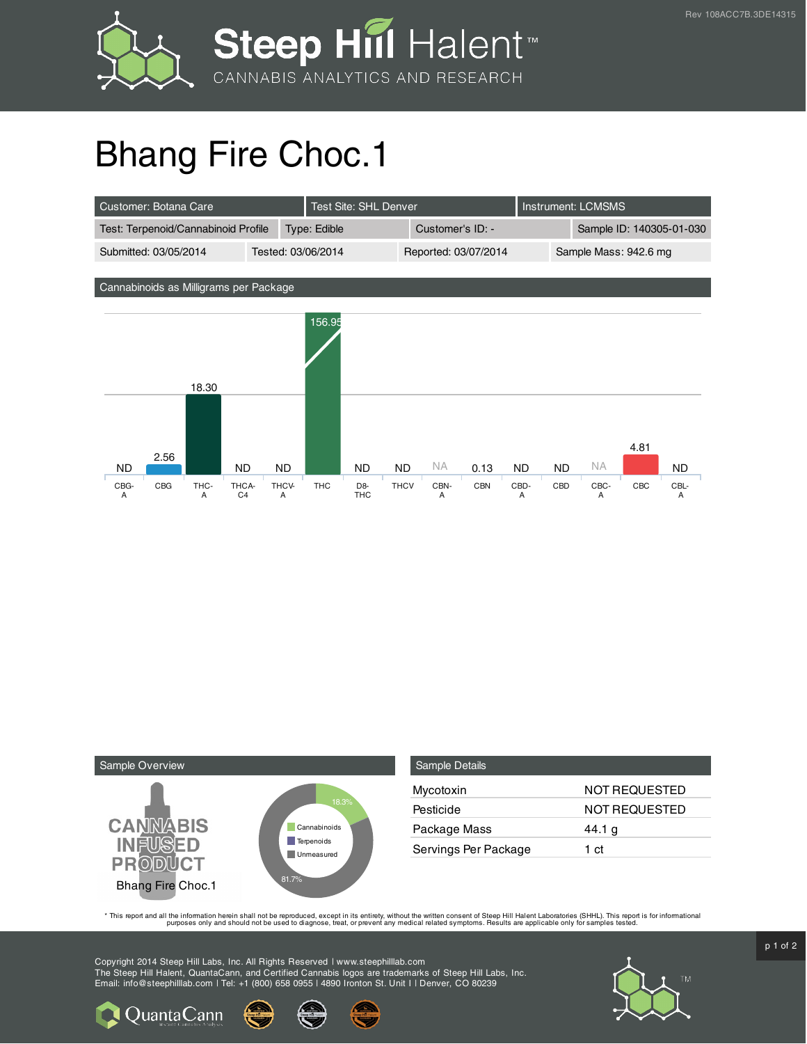

## Bhang Fire Choc.1

| Customer: Botana Care               |  | Test Site: SHL Denver |  |                      | Instrument: LCMSMS |  |                          |
|-------------------------------------|--|-----------------------|--|----------------------|--------------------|--|--------------------------|
| Test: Terpenoid/Cannabinoid Profile |  | <b>Type: Edible</b>   |  | Customer's ID: -     |                    |  | Sample ID: 140305-01-030 |
| Submitted: 03/05/2014               |  | Tested: 03/06/2014    |  | Reported: 03/07/2014 |                    |  | Sample Mass: 942.6 mg    |

Cannabinoids as Milligrams per Package





| <b>Sample Details</b> |                      |
|-----------------------|----------------------|
| Mycotoxin             | NOT REQUESTED        |
| Pesticide             | <b>NOT REQUESTED</b> |
| Package Mass          | 44.1 g               |
| Servings Per Package  | 1 ct                 |

This report and all the information herein shall not be reporduced, except in its entirety, without the written consent of Steep Hill Halent Laboratories (SHHL). This report is for informational all the instance, treat, or

Copyright 2014 Steep Hill Labs, Inc. All Rights Reserved | www.steephilllab.com The Steep Hill Halent, QuantaCann, and Certified Cannabis logos are trademarks of Steep Hill Labs, Inc. Email: info@steephilllab.com | Tel: +1 (800) 658 0955 | 4890 Ironton St. Unit I | Denver, CO 80239